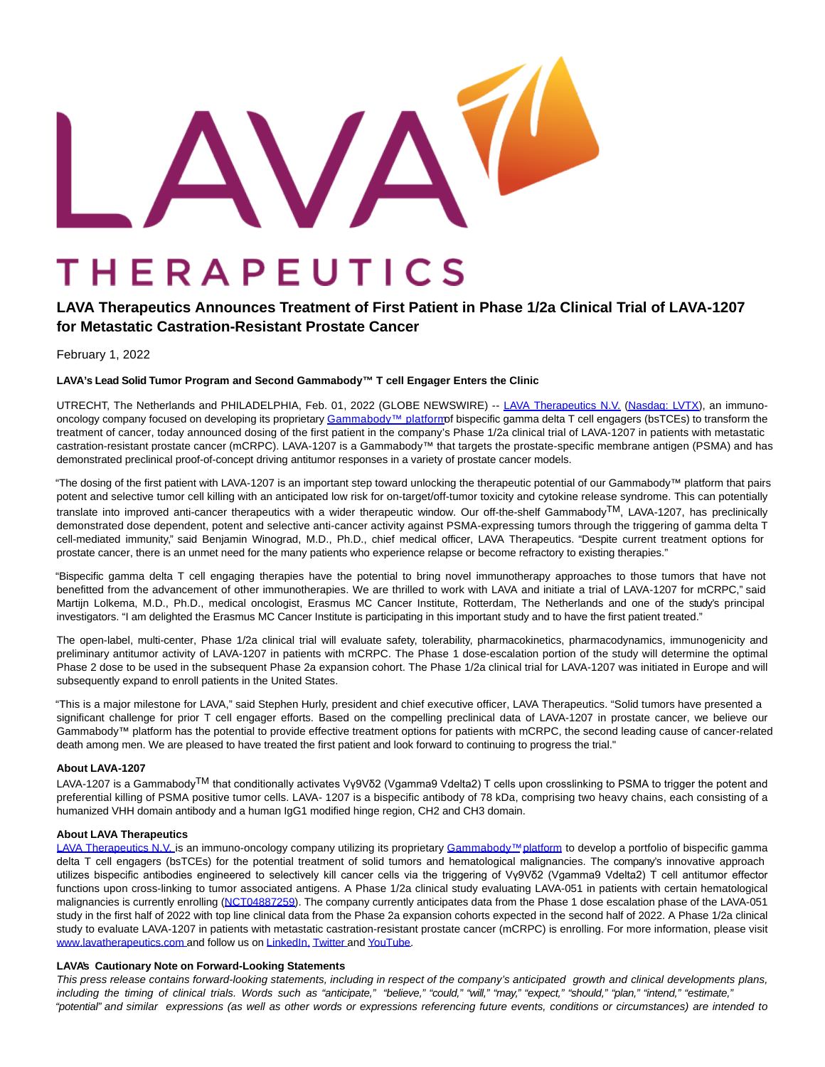THERAPEUTICS

# **LAVA Therapeutics Announces Treatment of First Patient in Phase 1/2a Clinical Trial of LAVA-1207**

# **for Metastatic Castration-Resistant Prostate Cancer**

February 1, 2022

# **LAVA's Lead Solid Tumor Program and Second Gammabody™ T cell Engager Enters the Clinic**

UTRECHT, The Netherlands and PHILADELPHIA, Feb. 01, 2022 (GLOBE NEWSWIRE) -- LAVA [Therapeutics](https://www.globenewswire.com/Tracker?data=zzQuGhFo7BZr2eiPa08u7_pWSByt68oMIP1zrsCgLWxtyB2DJLI56iGw-rxCWrJo4znmu5tIjlBj3aRrOHQicvBNpLVzapORRVBuipt2VxA=) N.V. [\(Nasdaq:](https://www.globenewswire.com/Tracker?data=uruXeSbuz7EkLS1f8r970tR3juzNJoILV-Vf7j8ADSHkXYmOsuNJQyY_aEDzL3VXLMUYMK4mOXZdMXhf0P6cD9duCt8G4y-BueTxDLagmp_izRDg3d4pbSnRnQXKuP2q) LVTX), an immuno-oncology company focused on developing its proprietary [Gammabody™ platformo](https://www.globenewswire.com/Tracker?data=v9bTgKVaoqg7Gk_j_EecDLAi-Pc3oxAtaXVgsbhuLF-q2MuD7WIC8VW433ClgZdStsJkaTSb-lemFWM_LKMNi5n4sn0l_xY_t4LEMO7Q_ZJJ67To_xtdu673sgX9Ehq71DVIPsUm-raLMNS6-JMRKg==)f bispecific gamma delta T cell engagers (bsTCEs) to transform the treatment of cancer, today announced dosing of the first patient in the company's Phase 1/2a clinical trial of LAVA-1207 in patients with metastatic castration-resistant prostate cancer (mCRPC). LAVA-1207 is a Gammabody™ that targets the prostate-specific membrane antigen (PSMA) and has demonstrated preclinical proof-of-concept driving antitumor responses in a variety of prostate cancer models.

"The dosing of the first patient with LAVA-1207 is an important step toward unlocking the therapeutic potential of our Gammabody™ platform that pairs potent and selective tumor cell killing with an anticipated low risk for on-target/off-tumor toxicity and cytokine release syndrome. This can potentially translate into improved anti-cancer therapeutics with a wider therapeutic window. Our off-the-shelf GammabodyTM, LAVA-1207, has preclinically demonstrated dose dependent, potent and selective anti-cancer activity against PSMA-expressing tumors through the triggering of gamma delta T cell-mediated immunity," said Benjamin Winograd, M.D., Ph.D., chief medical officer, LAVA Therapeutics. "Despite current treatment options for prostate cancer, there is an unmet need for the many patients who experience relapse or become refractory to existing therapies."

"Bispecific gamma delta T cell engaging therapies have the potential to bring novel immunotherapy approaches to those tumors that have not benefitted from the advancement of other immunotherapies. We are thrilled to work with LAVA and initiate a trial of LAVA-1207 for mCRPC," said Martijn Lolkema, M.D., Ph.D., medical oncologist, Erasmus MC Cancer Institute, Rotterdam, The Netherlands and one of the study's principal investigators. "I am delighted the Erasmus MC Cancer Institute is participating in this important study and to have the first patient treated."

The open-label, multi-center, Phase 1/2a clinical trial will evaluate safety, tolerability, pharmacokinetics, pharmacodynamics, immunogenicity and preliminary antitumor activity of LAVA-1207 in patients with mCRPC. The Phase 1 dose-escalation portion of the study will determine the optimal Phase 2 dose to be used in the subsequent Phase 2a expansion cohort. The Phase 1/2a clinical trial for LAVA-1207 was initiated in Europe and will subsequently expand to enroll patients in the United States.

"This is a major milestone for LAVA," said Stephen Hurly, president and chief executive officer, LAVA Therapeutics. "Solid tumors have presented a significant challenge for prior T cell engager efforts. Based on the compelling preclinical data of LAVA-1207 in prostate cancer, we believe our Gammabody™ platform has the potential to provide effective treatment options for patients with mCRPC, the second leading cause of cancer-related death among men. We are pleased to have treated the first patient and look forward to continuing to progress the trial."

# **About LAVA-1207**

LAVA-1207 is a Gammabody<sup>TM</sup> that conditionally activates Vγ9Vδ2 (Vgamma9 Vdelta2) T cells upon crosslinking to PSMA to trigger the potent and preferential killing of PSMA positive tumor cells. LAVA- 1207 is a bispecific antibody of 78 kDa, comprising two heavy chains, each consisting of a humanized VHH domain antibody and a human IgG1 modified hinge region, CH2 and CH3 domain.

## **About LAVA Therapeutics**

[LAVA Therapeutics N.V.](https://www.globenewswire.com/Tracker?data=zzQuGhFo7BZr2eiPa08u7_pWSByt68oMIP1zrsCgLWwpsaO-jIqIxXQ10IivJv-BbcBxLaO24un__lRfBJeaincAbekpB6NbsbhaVK2NrC8=) is an immuno-oncology company utilizing its proprietary [Gammabody™](https://www.globenewswire.com/Tracker?data=v9bTgKVaoqg7Gk_j_EecDCY84QwpHlMZEYZzpVqw4WuSTMOrtyy-YDP3f1ssy_mOx7-1hu2QtWGGUZKhu4QBi6wQNjYuF0BK4CwU6-z6IcRzOwYlGsW1R50wbCY9fVMJnAR6wDJbQmt9u2oITDkRIA==)[platform t](https://www.globenewswire.com/Tracker?data=yPrpAqjMa0AjEB4tmrPN-L0J5ZdCU-_CIQ5Dzs4WNYc31GZVY_UkZikAoHnP24Hv9jREkGZjaNi717vt6Ianw9GLZokFf0pa2c3ZFyOXdrmustTtR2kd5B_TFcULPmER)o develop a portfolio of bispecific gamma delta T cell engagers (bsTCEs) for the potential treatment of solid tumors and hematological malignancies. The company's innovative approach utilizes bispecific antibodies engineered to selectively kill cancer cells via the triggering of Vγ9Vδ2 (Vgamma9 Vdelta2) T cell antitumor effector functions upon cross-linking to tumor associated antigens. A Phase 1/2a clinical study evaluating LAVA-051 in patients with certain hematological malignancies is currently enrolling [\(NCT04887259\).](https://www.globenewswire.com/Tracker?data=GN3WTH49QxaBC6ZAW4zVRrEfX5WUUPQEjFbP7vi7UfHTs2a4p0dfWKvfEU2bbCdKwuH3cczOWKTgGzycKQVW0jlWWruQ1udLXqhoWICGk1_M46BDpe4wFXGdLdrAjY40p1gbOIpVzOg9Qt5kBfUNsA==) The company currently anticipates data from the Phase 1 dose escalation phase of the LAVA-051 study in the first half of 2022 with top line clinical data from the Phase 2a expansion cohorts expected in the second half of 2022. A Phase 1/2a clinical study to evaluate LAVA-1207 in patients with metastatic castration-resistant prostate cancer (mCRPC) is enrolling. For more information, please visit [www.lavatherapeutics.com](https://www.globenewswire.com/Tracker?data=xN6smkKphlBcwdLJb6XlLBPVym_ndCRJPh5m334W3rl9pnMy34doJFhtjBbuLMr-Av6kque5DrtPyhIDWAHAu-2uoBc6p4pfGFDp14N3i2k=) and follow us on [LinkedIn,](https://www.globenewswire.com/Tracker?data=XiB1Tg0dyP-gl16J6GaCcHNSaopdscCAgVzKtApRrd-Tyttztcj4aPBrPIdVVd1AYe1JxPLP_eI7ROEOGLrVAQ9elFib0CAMKNIg00-mmsQ=) [Twitter](https://www.globenewswire.com/Tracker?data=x_1KBp0TkiUQisCSTBpo2mC3mygDEMbixXy-Py9WX4gq96N4Nb54oiQTYgKsEs8dT_9ZUr0o8qYAdxqzjdCYHA==) an[d YouTube.](https://www.globenewswire.com/Tracker?data=ODsdta3PNDmvU5EoIU4tB5DdlHejLT3ybgLdG979pwkgMbbdbHhz8yBOR76DjEI1N0DTWgsAPBCWO5e8MA9hF6PqpLpE21TW6dq05LlUXEI2xeyhriZcITlJYgpesm8T)

## **LAVA's Cautionary Note on Forward-Looking Statements**

This press release contains forward-looking statements, including in respect of the company's anticipated growth and clinical developments plans, including the timing of clinical trials. Words such as "anticipate," "believe," "could," "will," "may," "expect," "should," "plan," "intend," "estimate," "potential" and similar expressions (as well as other words or expressions referencing future events, conditions or circumstances) are intended to